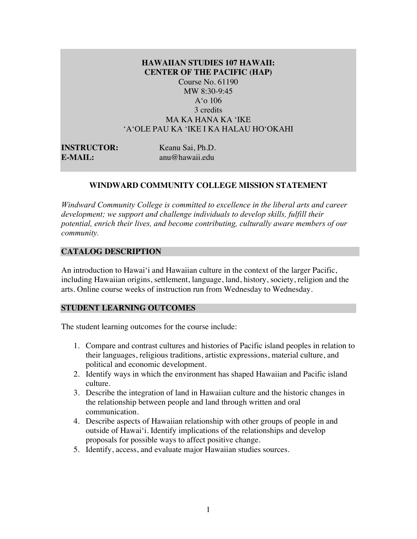# **HAWAIIAN STUDIES 107 HAWAII: CENTER OF THE PACIFIC (HAP)** Course No. 61190

MW 8:30-9:45 A'o 106 3 credits MA KA HANA KA ʻIKE ʻAʻOLE PAU KA ʻIKE I KA HALAU HOʻOKAHI

| <b>INSTRUCTOR:</b> | Keanu Sai, Ph.D. |
|--------------------|------------------|
| <b>E-MAIL:</b>     | anu@hawaii.edu   |

# **WINDWARD COMMUNITY COLLEGE MISSION STATEMENT**

*Windward Community College is committed to excellence in the liberal arts and career development; we support and challenge individuals to develop skills, fulfill their potential, enrich their lives, and become contributing, culturally aware members of our community.*

### **CATALOG DESCRIPTION**

An introduction to Hawai'i and Hawaiian culture in the context of the larger Pacific, including Hawaiian origins, settlement, language, land, history, society, religion and the arts. Online course weeks of instruction run from Wednesday to Wednesday.

### **STUDENT LEARNING OUTCOMES**

The student learning outcomes for the course include:

- 1. Compare and contrast cultures and histories of Pacific island peoples in relation to their languages, religious traditions, artistic expressions, material culture, and political and economic development.
- 2. Identify ways in which the environment has shaped Hawaiian and Pacific island culture.
- 3. Describe the integration of land in Hawaiian culture and the historic changes in the relationship between people and land through written and oral communication.
- 4. Describe aspects of Hawaiian relationship with other groups of people in and outside of Hawai'i. Identify implications of the relationships and develop proposals for possible ways to affect positive change.
- 5. Identify, access, and evaluate major Hawaiian studies sources.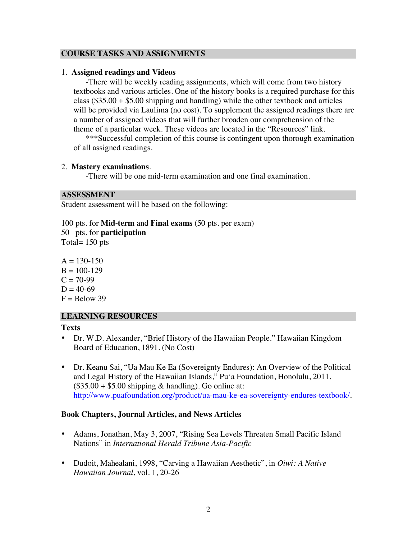# **COURSE TASKS AND ASSIGNMENTS**

### 1. **Assigned readings and Videos**

-There will be weekly reading assignments, which will come from two history textbooks and various articles. One of the history books is a required purchase for this class  $(\$35.00 + \$5.00$  shipping and handling) while the other textbook and articles will be provided via Laulima (no cost). To supplement the assigned readings there are a number of assigned videos that will further broaden our comprehension of the theme of a particular week. These videos are located in the "Resources" link.

\*\*\*Successful completion of this course is contingent upon thorough examination of all assigned readings.

# 2. **Mastery examinations**.

-There will be one mid-term examination and one final examination.

# **ASSESSMENT**

Student assessment will be based on the following:

100 pts. for **Mid-term** and **Final exams** (50 pts. per exam) 50 pts. for **participation** Total= 150 pts

 $A = 130-150$  $B = 100-129$  $C = 70-99$  $D = 40-69$  $F =$  Below 39

# **LEARNING RESOURCES**

# **Texts**

- Dr. W.D. Alexander, "Brief History of the Hawaiian People." Hawaiian Kingdom Board of Education, 1891. (No Cost)
- Dr. Keanu Sai, "Ua Mau Ke Ea (Sovereignty Endures): An Overview of the Political and Legal History of the Hawaiian Islands," Pu'a Foundation, Honolulu, 2011.  $($35.00 + $5.00$  shipping & handling). Go online at: http://www.puafoundation.org/product/ua-mau-ke-ea-sovereignty-endures-textbook/.

# **Book Chapters, Journal Articles, and News Articles**

- Adams, Jonathan, May 3, 2007, "Rising Sea Levels Threaten Small Pacific Island Nations" in *International Herald Tribune Asia-Pacific*
- Dudoit, Mahealani, 1998, "Carving a Hawaiian Aesthetic", in *Oiwi: A Native Hawaiian Journal*, vol. 1, 20-26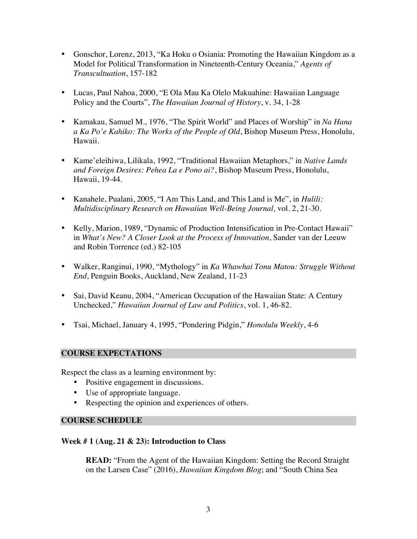- Gonschor, Lorenz, 2013, "Ka Hoku o Osiania: Promoting the Hawaiian Kingdom as a Model for Political Transformation in Nineteenth-Century Oceania," *Agents of Transcultuation*, 157-182
- Lucas, Paul Nahoa, 2000, "E Ola Mau Ka Olelo Makuahine: Hawaiian Language Policy and the Courts", *The Hawaiian Journal of History*, v. 34, 1-28
- Kamakau, Samuel M., 1976, "The Spirit World" and Places of Worship" in *Na Hana a Ka Po'e Kahiko: The Works of the People of Old*, Bishop Museum Press, Honolulu, Hawaii.
- Kame'eleihiwa, Lilikala, 1992, "Traditional Hawaiian Metaphors," in *Native Lands and Foreign Desires: Pehea La e Pono ai?*, Bishop Museum Press, Honolulu, Hawaii, 19-44.
- Kanahele, Pualani, 2005, "I Am This Land, and This Land is Me", in *Hulili: Multidisciplinary Research on Hawaiian Well-Being Journal,* vol. 2, 21-30.
- Kelly, Marion, 1989, "Dynamic of Production Intensification in Pre-Contact Hawaii" in *What's New? A Closer Look at the Process of Innovation*, Sander van der Leeuw and Robin Torrence (ed.) 82-105
- Walker, Ranginui, 1990, "Mythology" in *Ka Whawhai Tonu Matou: Struggle Without End*, Penguin Books, Auckland, New Zealand, 11-23
- Sai, David Keanu, 2004, "American Occupation of the Hawaiian State: A Century Unchecked," *Hawaiian Journal of Law and Politics*, vol. 1, 46-82.
- Tsai, Michael, January 4, 1995, "Pondering Pidgin," *Honolulu Weekly*, 4-6

# **COURSE EXPECTATIONS**

Respect the class as a learning environment by:

- Positive engagement in discussions.
- Use of appropriate language.
- Respecting the opinion and experiences of others*.*

# **COURSE SCHEDULE**

# **Week # 1 (Aug. 21 & 23): Introduction to Class**

**READ:** "From the Agent of the Hawaiian Kingdom: Setting the Record Straight on the Larsen Case" (2016), *Hawaiian Kingdom Blog*; and "South China Sea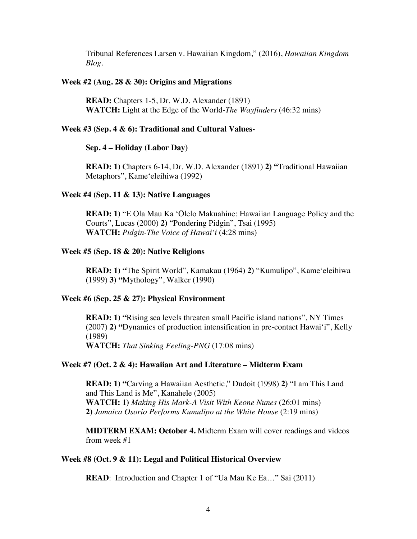Tribunal References Larsen v. Hawaiian Kingdom," (2016), *Hawaiian Kingdom Blog*.

#### **Week #2 (Aug. 28 & 30): Origins and Migrations**

**READ:** Chapters 1-5, Dr. W.D. Alexander (1891) **WATCH:** Light at the Edge of the World-*The Wayfinders* (46:32 mins)

### **Week #3 (Sep. 4 & 6): Traditional and Cultural Values-**

#### **Sep. 4 – Holiday (Labor Day)**

**READ: 1)** Chapters 6-14, Dr. W.D. Alexander (1891) **2) "**Traditional Hawaiian Metaphors", Kameʻeleihiwa (1992)

#### **Week #4 (Sep. 11 & 13): Native Languages**

**READ: 1)** "E Ola Mau Ka ʻŌlelo Makuahine: Hawaiian Language Policy and the Courts", Lucas (2000) **2)** "Pondering Pidgin", Tsai (1995) **WATCH:** *Pidgin-The Voice of Hawaiʻi* (4:28 mins)

### **Week #5 (Sep. 18 & 20): Native Religions**

**READ: 1) "**The Spirit World", Kamakau (1964) **2)** "Kumulipo", Kameʻeleihiwa (1999) **3) "**Mythology", Walker (1990)

#### **Week #6 (Sep. 25 & 27): Physical Environment**

**READ: 1) "**Rising sea levels threaten small Pacific island nations", NY Times (2007) **2) "**Dynamics of production intensification in pre-contact Hawai'i", Kelly (1989)

**WATCH:** *That Sinking Feeling-PNG* (17:08 mins)

# **Week #7 (Oct. 2 & 4): Hawaiian Art and Literature – Midterm Exam**

**READ: 1) "**Carving a Hawaiian Aesthetic," Dudoit (1998) **2)** "I am This Land and This Land is Me", Kanahele (2005) **WATCH: 1)** *Making His Mark-A Visit With Keone Nunes* (26:01 mins) **2)** *Jamaica Osorio Performs Kumulipo at the White House* (2:19 mins)

**MIDTERM EXAM: October 4.** Midterm Exam will cover readings and videos from week #1

# **Week #8 (Oct. 9 & 11): Legal and Political Historical Overview**

**READ:** Introduction and Chapter 1 of "Ua Mau Ke Ea..." Sai (2011)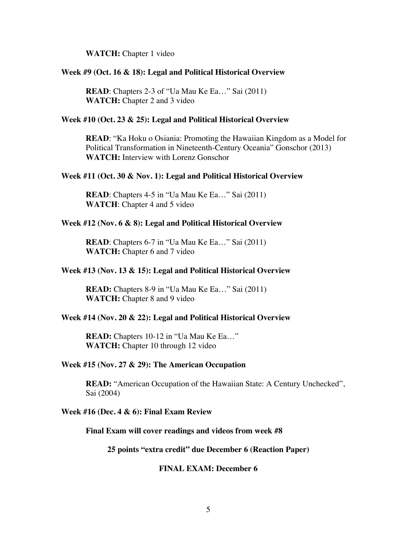**WATCH:** Chapter 1 video

#### **Week #9 (Oct. 16 & 18): Legal and Political Historical Overview**

**READ**: Chapters 2-3 of "Ua Mau Ke Ea..." Sai (2011) **WATCH:** Chapter 2 and 3 video

#### **Week #10 (Oct. 23 & 25): Legal and Political Historical Overview**

**READ**: "Ka Hoku o Osiania: Promoting the Hawaiian Kingdom as a Model for Political Transformation in Nineteenth-Century Oceania" Gonschor (2013) **WATCH:** Interview with Lorenz Gonschor

#### **Week #11 (Oct. 30 & Nov. 1): Legal and Political Historical Overview**

**READ**: Chapters 4-5 in "Ua Mau Ke Ea..." Sai (2011) **WATCH**: Chapter 4 and 5 video

#### **Week #12 (Nov. 6 & 8): Legal and Political Historical Overview**

**READ**: Chapters 6-7 in "Ua Mau Ke Ea…" Sai (2011) **WATCH:** Chapter 6 and 7 video

#### **Week #13 (Nov. 13 & 15): Legal and Political Historical Overview**

**READ:** Chapters 8-9 in "Ua Mau Ke Ea…" Sai (2011) **WATCH:** Chapter 8 and 9 video

#### **Week #14 (Nov. 20 & 22): Legal and Political Historical Overview**

**READ:** Chapters 10-12 in "Ua Mau Ke Ea…" WATCH: Chapter 10 through 12 video

# **Week #15 (Nov. 27 & 29): The American Occupation**

**READ:** "American Occupation of the Hawaiian State: A Century Unchecked", Sai (2004)

#### **Week #16 (Dec. 4 & 6): Final Exam Review**

**Final Exam will cover readings and videos from week #8**

**25 points "extra credit" due December 6 (Reaction Paper)**

### **FINAL EXAM: December 6**